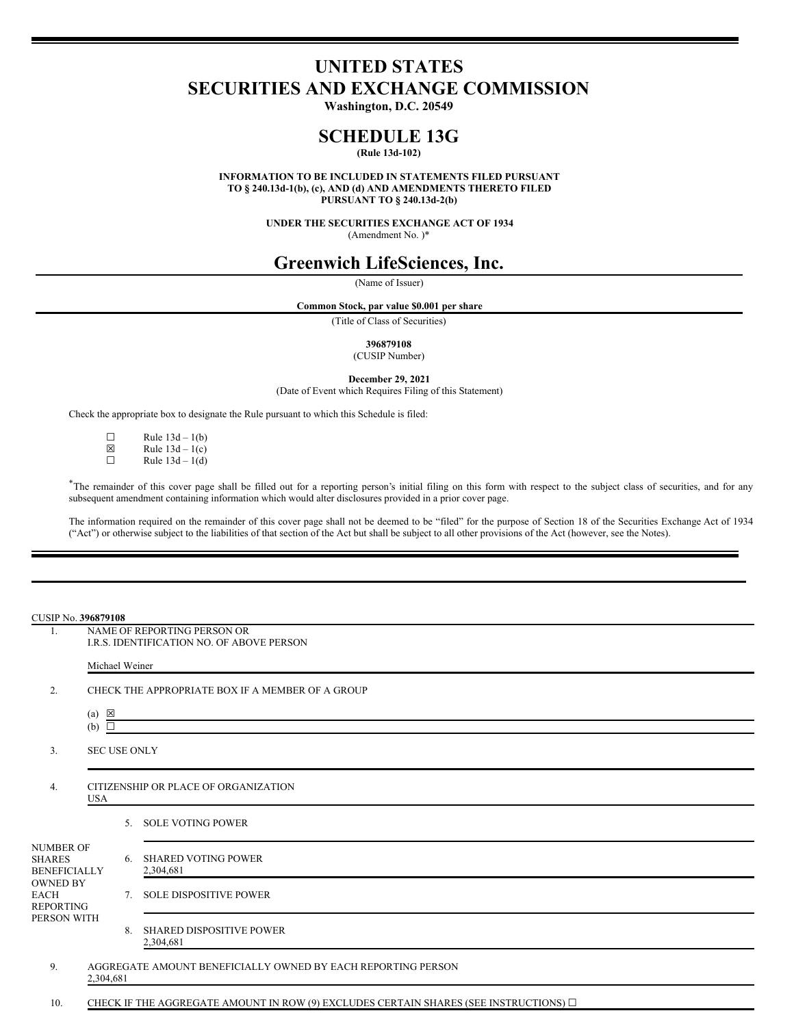# **UNITED STATES SECURITIES AND EXCHANGE COMMISSION**

**Washington, D.C. 20549**

## **SCHEDULE 13G**

**(Rule 13d-102)**

**INFORMATION TO BE INCLUDED IN STATEMENTS FILED PURSUANT TO § 240.13d-1(b), (c), AND (d) AND AMENDMENTS THERETO FILED PURSUANT TO § 240.13d-2(b)**

> **UNDER THE SECURITIES EXCHANGE ACT OF 1934** (Amendment No. )\*

## **Greenwich LifeSciences, Inc.**

(Name of Issuer)

**Common Stock, par value \$0.001 per share**

(Title of Class of Securities)

**396879108**

(CUSIP Number)

**December 29, 2021**

(Date of Event which Requires Filing of this Statement)

Check the appropriate box to designate the Rule pursuant to which this Schedule is filed:

□ Rule  $13d - 1(b)$ <br>
図 Rule  $13d - 1(c)$ 

 $\boxtimes$  Rule 13d – 1(c)<br>
Rule 13d – 1(d)

Rule  $13d - 1(d)$ 

\*The remainder of this cover page shall be filled out for a reporting person's initial filing on this form with respect to the subject class of securities, and for any subsequent amendment containing information which would alter disclosures provided in a prior cover page.

The information required on the remainder of this cover page shall not be deemed to be "filed" for the purpose of Section 18 of the Securities Exchange Act of 1934 ("Act") or otherwise subject to the liabilities of that section of the Act but shall be subject to all other provisions of the Act (however, see the Notes).

#### CUSIP No. **396879108**

1. NAME OF REPORTING PERSON OR I.R.S. IDENTIFICATION NO. OF ABOVE PERSON Michael Weiner 2. CHECK THE APPROPRIATE BOX IF A MEMBER OF A GROUP (a)  $\boxtimes$ (b)  $\overline{\Box}$ 3. SEC USE ONLY 4. CITIZENSHIP OR PLACE OF ORGANIZATION USA NUMBER OF SHARES BENEFICIALLY OWNED BY EACH REPORTING PERSON WITH 5. SOLE VOTING POWER 6. SHARED VOTING POWER 2,304,681 7. SOLE DISPOSITIVE POWER 8. SHARED DISPOSITIVE POWER 2,304,681 9. AGGREGATE AMOUNT BENEFICIALLY OWNED BY EACH REPORTING PERSON 2,304,681

10. CHECK IF THE AGGREGATE AMOUNT IN ROW (9) EXCLUDES CERTAIN SHARES (SEE INSTRUCTIONS) □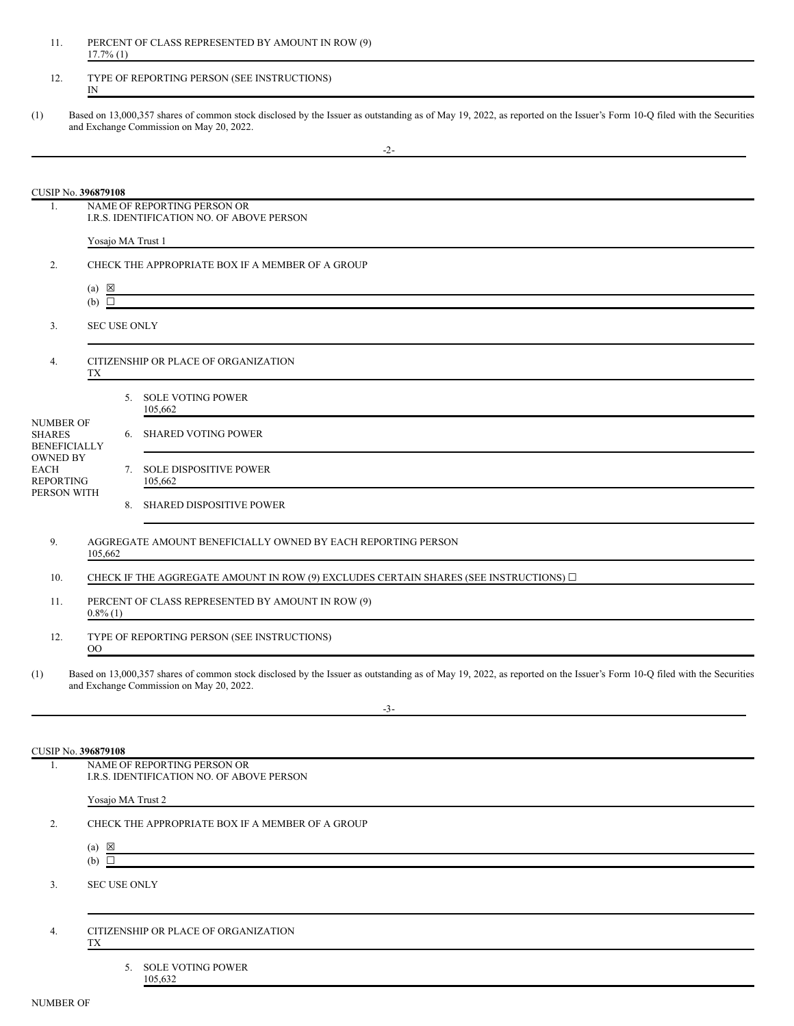| 11 | PERCENT OF CLASS REPRESENTED BY AMOUNT IN ROW (9) |
|----|---------------------------------------------------|
|    | $17.7\%$ (1)                                      |

### 12. TYPE OF REPORTING PERSON (SEE INSTRUCTIONS) IN

(1) Based on 13,000,357 shares of common stock disclosed by the Issuer as outstanding as of May 19, 2022, as reported on the Issuer's Form 10-Q filed with the Securities and Exchange Commission on May 20, 2022.

|                                                                             | CUSIP No. 396879108                                                      |  |                                                                                                                                                                                                                   |  |
|-----------------------------------------------------------------------------|--------------------------------------------------------------------------|--|-------------------------------------------------------------------------------------------------------------------------------------------------------------------------------------------------------------------|--|
| 1.                                                                          | NAME OF REPORTING PERSON OR<br>I.R.S. IDENTIFICATION NO. OF ABOVE PERSON |  |                                                                                                                                                                                                                   |  |
|                                                                             | Yosajo MA Trust 1                                                        |  |                                                                                                                                                                                                                   |  |
| 2.                                                                          |                                                                          |  | CHECK THE APPROPRIATE BOX IF A MEMBER OF A GROUP                                                                                                                                                                  |  |
|                                                                             | $(a) \boxtimes$<br>$(b)$ $\square$                                       |  |                                                                                                                                                                                                                   |  |
|                                                                             |                                                                          |  | <u> 1989 - Johann Stoff, amerikansk politiker (* 1908)</u>                                                                                                                                                        |  |
| 3.                                                                          | <b>SEC USE ONLY</b>                                                      |  |                                                                                                                                                                                                                   |  |
| 4.                                                                          | CITIZENSHIP OR PLACE OF ORGANIZATION<br>TX                               |  |                                                                                                                                                                                                                   |  |
|                                                                             |                                                                          |  | 5. SOLE VOTING POWER<br>105,662                                                                                                                                                                                   |  |
| <b>NUMBER OF</b><br><b>SHARES</b><br><b>BENEFICIALLY</b><br><b>OWNED BY</b> |                                                                          |  | 6. SHARED VOTING POWER                                                                                                                                                                                            |  |
| <b>EACH</b><br><b>REPORTING</b><br>PERSON WITH                              |                                                                          |  | 7. SOLE DISPOSITIVE POWER<br>105,662                                                                                                                                                                              |  |
|                                                                             |                                                                          |  | 8. SHARED DISPOSITIVE POWER                                                                                                                                                                                       |  |
| 9.                                                                          | 105,662                                                                  |  | AGGREGATE AMOUNT BENEFICIALLY OWNED BY EACH REPORTING PERSON                                                                                                                                                      |  |
| 10.                                                                         |                                                                          |  | CHECK IF THE AGGREGATE AMOUNT IN ROW (9) EXCLUDES CERTAIN SHARES (SEE INSTRUCTIONS) $\square$                                                                                                                     |  |
| 11.                                                                         | $0.8\%$ (1)                                                              |  | PERCENT OF CLASS REPRESENTED BY AMOUNT IN ROW (9)                                                                                                                                                                 |  |
| 12.                                                                         | $_{\rm OO}$                                                              |  | TYPE OF REPORTING PERSON (SEE INSTRUCTIONS)                                                                                                                                                                       |  |
| (1)                                                                         |                                                                          |  | Based on 13,000,357 shares of common stock disclosed by the Issuer as outstanding as of May 19, 2022, as reported on the Issuer's Form 10-Q filed with the Securities<br>and Exchange Commission on May 20, 2022. |  |
|                                                                             |                                                                          |  | $-3-$                                                                                                                                                                                                             |  |
|                                                                             | CUSIP No. <b>396879108</b>                                               |  |                                                                                                                                                                                                                   |  |
| 1.                                                                          |                                                                          |  | NAME OF REPORTING PERSON OR<br>I.R.S. IDENTIFICATION NO. OF ABOVE PERSON                                                                                                                                          |  |
|                                                                             | Yosajo MA Trust 2                                                        |  |                                                                                                                                                                                                                   |  |
| 2.                                                                          |                                                                          |  | CHECK THE APPROPRIATE BOX IF A MEMBER OF A GROUP                                                                                                                                                                  |  |
|                                                                             | $(a) \times$<br>(b) $\Box$                                               |  | <u> 1989 - Johann Barbara, marka a shekara tsa 1989 - An tsa 1989 - An tsa 1989 - An tsa 1989 - An tsa 1989 - An</u>                                                                                              |  |
| 3.                                                                          | <b>SEC USE ONLY</b>                                                      |  |                                                                                                                                                                                                                   |  |
| 4.                                                                          | ТX                                                                       |  | CITIZENSHIP OR PLACE OF ORGANIZATION                                                                                                                                                                              |  |
|                                                                             |                                                                          |  | 5. SOLE VOTING POWER<br>105,632                                                                                                                                                                                   |  |
| <b>NUMBER OF</b>                                                            |                                                                          |  |                                                                                                                                                                                                                   |  |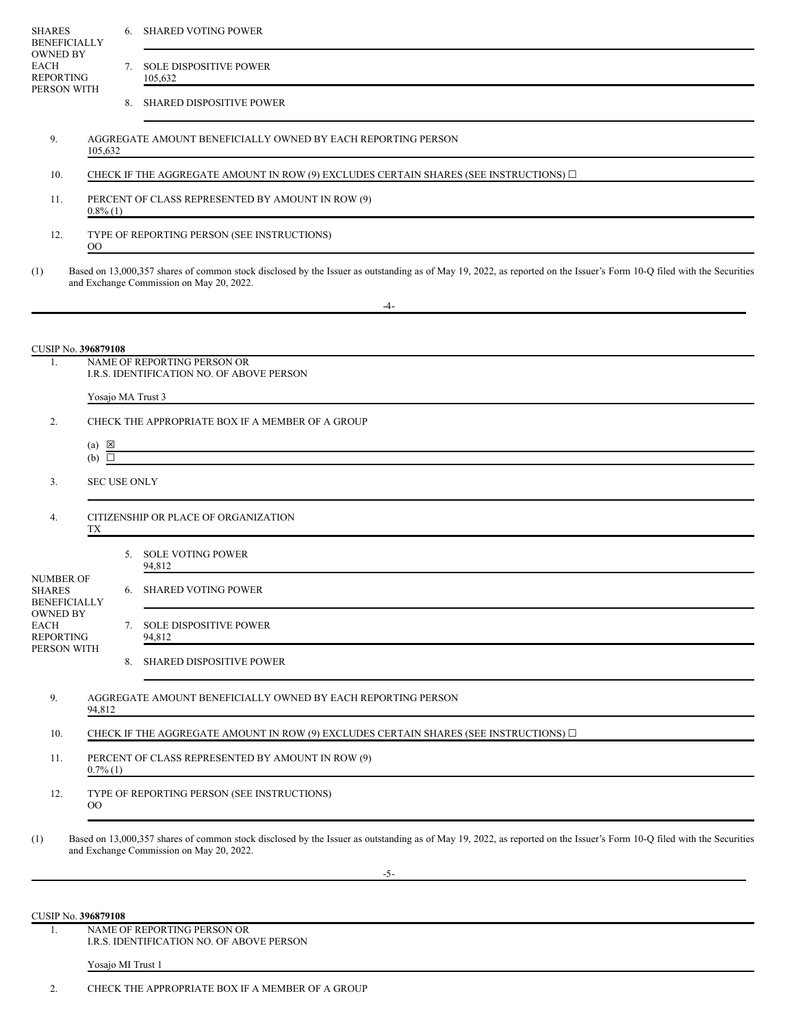| <b>SHARES</b><br><b>BENEFICIALLY</b>                              |                                                                                                                                                     |  | 6. SHARED VOTING POWER                                                                                                                                                                                            |
|-------------------------------------------------------------------|-----------------------------------------------------------------------------------------------------------------------------------------------------|--|-------------------------------------------------------------------------------------------------------------------------------------------------------------------------------------------------------------------|
| <b>OWNED BY</b><br><b>EACH</b><br><b>REPORTING</b><br>PERSON WITH |                                                                                                                                                     |  | 7. SOLE DISPOSITIVE POWER<br>105,632                                                                                                                                                                              |
|                                                                   |                                                                                                                                                     |  | 8. SHARED DISPOSITIVE POWER                                                                                                                                                                                       |
| 9.<br>105,632                                                     |                                                                                                                                                     |  | AGGREGATE AMOUNT BENEFICIALLY OWNED BY EACH REPORTING PERSON                                                                                                                                                      |
| 10.                                                               |                                                                                                                                                     |  | CHECK IF THE AGGREGATE AMOUNT IN ROW (9) EXCLUDES CERTAIN SHARES (SEE INSTRUCTIONS) $\Box$                                                                                                                        |
| 11.                                                               | $0.8\%$ (1)                                                                                                                                         |  | PERCENT OF CLASS REPRESENTED BY AMOUNT IN ROW (9)                                                                                                                                                                 |
| 12.<br>00                                                         |                                                                                                                                                     |  | TYPE OF REPORTING PERSON (SEE INSTRUCTIONS)                                                                                                                                                                       |
| (1)                                                               |                                                                                                                                                     |  | Based on 13,000,357 shares of common stock disclosed by the Issuer as outstanding as of May 19, 2022, as reported on the Issuer's Form 10-Q filed with the Securities<br>and Exchange Commission on May 20, 2022. |
|                                                                   |                                                                                                                                                     |  | -4-                                                                                                                                                                                                               |
| CUSIP No. 396879108                                               |                                                                                                                                                     |  |                                                                                                                                                                                                                   |
| 1.                                                                |                                                                                                                                                     |  | NAME OF REPORTING PERSON OR<br>I.R.S. IDENTIFICATION NO. OF ABOVE PERSON                                                                                                                                          |
|                                                                   |                                                                                                                                                     |  | Yosajo MA Trust 3                                                                                                                                                                                                 |
| 2.                                                                |                                                                                                                                                     |  | CHECK THE APPROPRIATE BOX IF A MEMBER OF A GROUP                                                                                                                                                                  |
| $(a) \times$<br>$(b)$ $\square$                                   |                                                                                                                                                     |  |                                                                                                                                                                                                                   |
| 3.                                                                | <b>SEC USE ONLY</b>                                                                                                                                 |  |                                                                                                                                                                                                                   |
| 4.<br>TХ                                                          |                                                                                                                                                     |  | CITIZENSHIP OR PLACE OF ORGANIZATION                                                                                                                                                                              |
|                                                                   |                                                                                                                                                     |  | 5. SOLE VOTING POWER<br>94,812                                                                                                                                                                                    |
| <b>NUMBER OF</b><br><b>SHARES</b><br><b>BENEFICIALLY</b>          |                                                                                                                                                     |  | 6. SHARED VOTING POWER                                                                                                                                                                                            |
| <b>OWNED BY</b><br>EACH<br><b>REPORTING</b>                       |                                                                                                                                                     |  | 7. SOLE DISPOSITIVE POWER<br>94,812                                                                                                                                                                               |
| PERSON WITH                                                       |                                                                                                                                                     |  | 8. SHARED DISPOSITIVE POWER                                                                                                                                                                                       |
| 9.<br>94,812                                                      |                                                                                                                                                     |  | AGGREGATE AMOUNT BENEFICIALLY OWNED BY EACH REPORTING PERSON                                                                                                                                                      |
| 10.                                                               |                                                                                                                                                     |  | CHECK IF THE AGGREGATE AMOUNT IN ROW (9) EXCLUDES CERTAIN SHARES (SEE INSTRUCTIONS) $\square$                                                                                                                     |
| 11.                                                               | PERCENT OF CLASS REPRESENTED BY AMOUNT IN ROW (9)<br>$0.7\%$ (1)<br>the contract of the contract of the contract of the contract of the contract of |  |                                                                                                                                                                                                                   |
| 12.<br>$_{\rm OO}$                                                |                                                                                                                                                     |  | TYPE OF REPORTING PERSON (SEE INSTRUCTIONS)                                                                                                                                                                       |
| (1)                                                               |                                                                                                                                                     |  | Based on 13,000,357 shares of common stock disclosed by the Issuer as outstanding as of May 19, 2022, as reported on the Issuer's Form 10-Q filed with the Securities<br>and Exchange Commission on May 20, 2022. |
|                                                                   |                                                                                                                                                     |  | $-5-$                                                                                                                                                                                                             |
|                                                                   |                                                                                                                                                     |  |                                                                                                                                                                                                                   |
| <b>CUSIP No. 396879108</b><br>1.                                  |                                                                                                                                                     |  | NAME OF REPORTING PERSON OR                                                                                                                                                                                       |
|                                                                   | Yosajo MI Trust 1                                                                                                                                   |  | I.R.S. IDENTIFICATION NO. OF ABOVE PERSON                                                                                                                                                                         |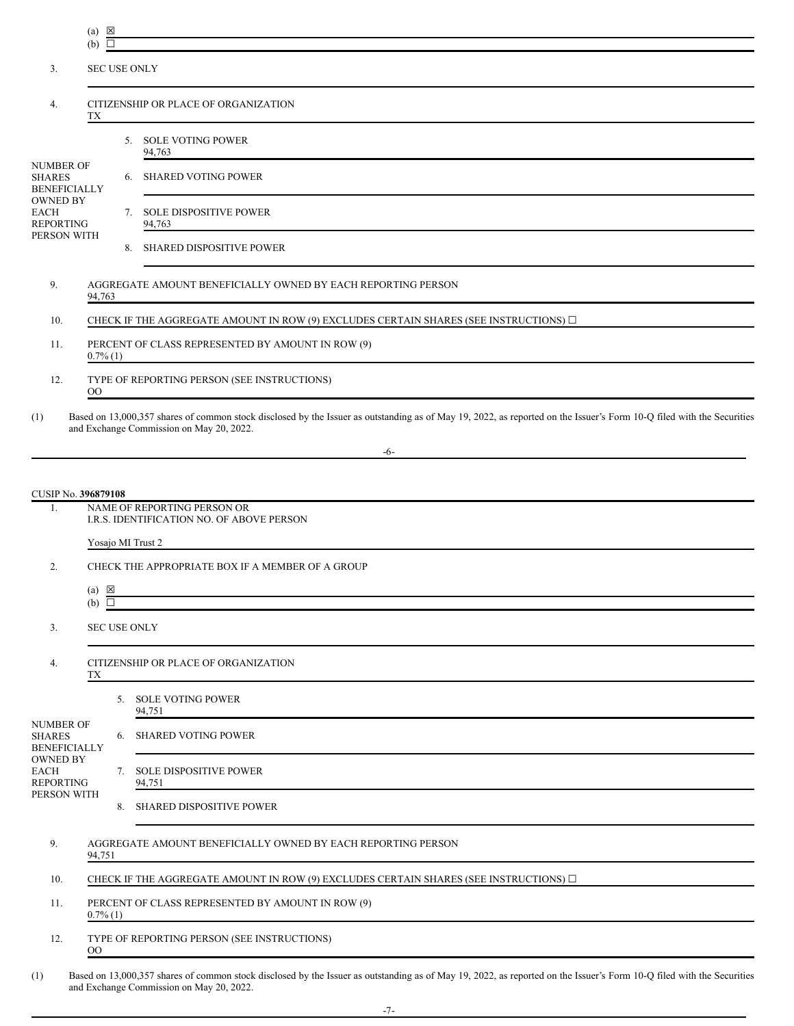(a)  $\boxtimes$ 

OO

|                                                          | $(b)$ $\square$                                                  |                     |                                                                                                                                                                                                                   |  |
|----------------------------------------------------------|------------------------------------------------------------------|---------------------|-------------------------------------------------------------------------------------------------------------------------------------------------------------------------------------------------------------------|--|
| 3.                                                       | <b>SEC USE ONLY</b>                                              |                     |                                                                                                                                                                                                                   |  |
| 4.                                                       | CITIZENSHIP OR PLACE OF ORGANIZATION<br>TХ                       |                     |                                                                                                                                                                                                                   |  |
|                                                          |                                                                  |                     | 5. SOLE VOTING POWER<br>94,763                                                                                                                                                                                    |  |
| <b>NUMBER OF</b><br><b>SHARES</b><br><b>BENEFICIALLY</b> |                                                                  |                     | 6. SHARED VOTING POWER                                                                                                                                                                                            |  |
| <b>OWNED BY</b><br>EACH<br><b>REPORTING</b>              |                                                                  |                     | 7. SOLE DISPOSITIVE POWER<br>94,763                                                                                                                                                                               |  |
| PERSON WITH                                              |                                                                  |                     | 8. SHARED DISPOSITIVE POWER                                                                                                                                                                                       |  |
| 9.                                                       | 94,763                                                           |                     | AGGREGATE AMOUNT BENEFICIALLY OWNED BY EACH REPORTING PERSON                                                                                                                                                      |  |
| 10.                                                      |                                                                  |                     | CHECK IF THE AGGREGATE AMOUNT IN ROW (9) EXCLUDES CERTAIN SHARES (SEE INSTRUCTIONS) $\Box$                                                                                                                        |  |
| 11.                                                      | $0.7\%$ (1)                                                      |                     | PERCENT OF CLASS REPRESENTED BY AMOUNT IN ROW (9)                                                                                                                                                                 |  |
| 12.                                                      | OO                                                               |                     | TYPE OF REPORTING PERSON (SEE INSTRUCTIONS)                                                                                                                                                                       |  |
| (1)                                                      |                                                                  |                     | Based on 13,000,357 shares of common stock disclosed by the Issuer as outstanding as of May 19, 2022, as reported on the Issuer's Form 10-Q filed with the Securities<br>and Exchange Commission on May 20, 2022. |  |
|                                                          |                                                                  |                     | -6-                                                                                                                                                                                                               |  |
|                                                          |                                                                  |                     |                                                                                                                                                                                                                   |  |
| CUSIP No. 396879108<br>1.                                |                                                                  |                     | NAME OF REPORTING PERSON OR                                                                                                                                                                                       |  |
|                                                          |                                                                  |                     | I.R.S. IDENTIFICATION NO. OF ABOVE PERSON                                                                                                                                                                         |  |
|                                                          |                                                                  |                     | Yosajo MI Trust 2                                                                                                                                                                                                 |  |
| 2.                                                       |                                                                  |                     | CHECK THE APPROPRIATE BOX IF A MEMBER OF A GROUP                                                                                                                                                                  |  |
|                                                          | $(a) \boxtimes$<br>$(b)$ $\square$                               |                     |                                                                                                                                                                                                                   |  |
| 3.                                                       |                                                                  | <b>SEC USE ONLY</b> |                                                                                                                                                                                                                   |  |
| 4.                                                       | TX                                                               |                     | CITIZENSHIP OR PLACE OF ORGANIZATION                                                                                                                                                                              |  |
|                                                          |                                                                  |                     | 5. SOLE VOTING POWER<br>94,751                                                                                                                                                                                    |  |
| <b>NUMBER OF</b><br><b>SHARES</b><br><b>BENEFICIALLY</b> |                                                                  |                     | 6. SHARED VOTING POWER                                                                                                                                                                                            |  |
| <b>OWNED BY</b><br>EACH<br><b>REPORTING</b>              |                                                                  |                     | 7. SOLE DISPOSITIVE POWER<br>94,751                                                                                                                                                                               |  |
| PERSON WITH                                              |                                                                  |                     | 8. SHARED DISPOSITIVE POWER                                                                                                                                                                                       |  |
| 9.                                                       | 94,751                                                           |                     | AGGREGATE AMOUNT BENEFICIALLY OWNED BY EACH REPORTING PERSON                                                                                                                                                      |  |
| 10.                                                      |                                                                  |                     | CHECK IF THE AGGREGATE AMOUNT IN ROW (9) EXCLUDES CERTAIN SHARES (SEE INSTRUCTIONS) $\Box$                                                                                                                        |  |
| 11.                                                      | PERCENT OF CLASS REPRESENTED BY AMOUNT IN ROW (9)<br>$0.7\%$ (1) |                     |                                                                                                                                                                                                                   |  |
| 12.                                                      |                                                                  |                     | TYPE OF REPORTING PERSON (SEE INSTRUCTIONS)                                                                                                                                                                       |  |

(1) Based on 13,000,357 shares of common stock disclosed by the Issuer as outstanding as of May 19, 2022, as reported on the Issuer's Form 10-Q filed with the Securities and Exchange Commission on May 20, 2022.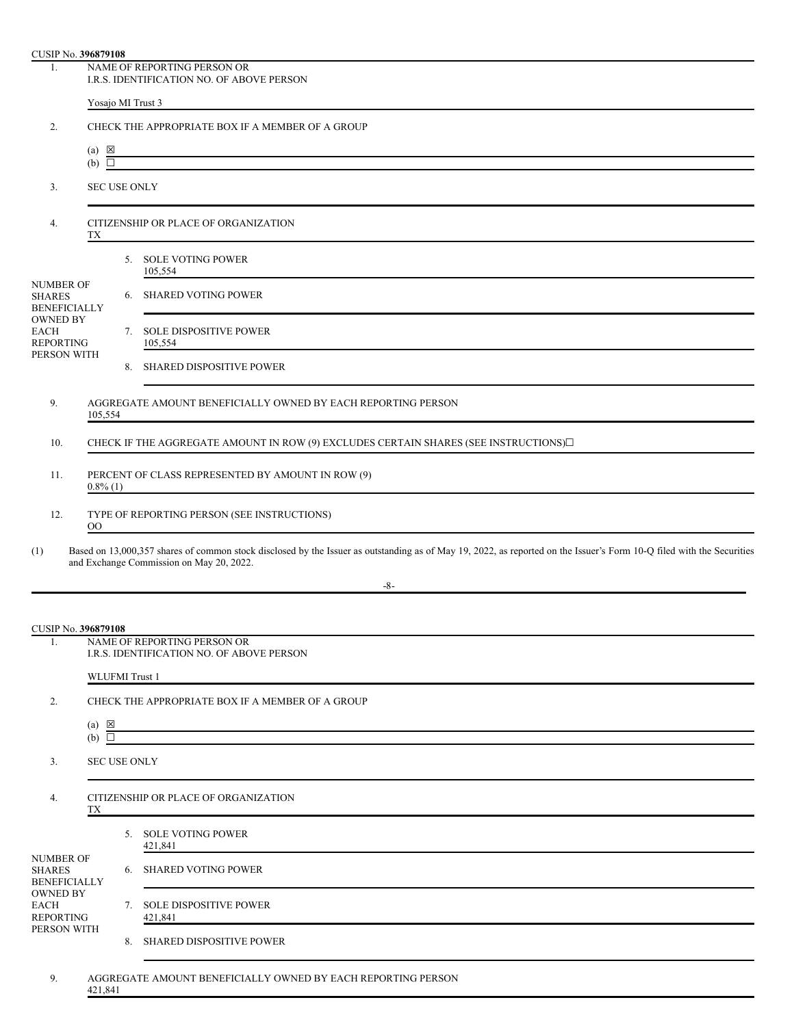| CUSIP No. 396879108                                      |                                                                          |  |                                                                                                                                                                                                                   |  |  |
|----------------------------------------------------------|--------------------------------------------------------------------------|--|-------------------------------------------------------------------------------------------------------------------------------------------------------------------------------------------------------------------|--|--|
| 1.                                                       | NAME OF REPORTING PERSON OR<br>I.R.S. IDENTIFICATION NO. OF ABOVE PERSON |  |                                                                                                                                                                                                                   |  |  |
|                                                          | Yosajo MI Trust 3                                                        |  |                                                                                                                                                                                                                   |  |  |
| 2.                                                       | CHECK THE APPROPRIATE BOX IF A MEMBER OF A GROUP                         |  |                                                                                                                                                                                                                   |  |  |
|                                                          | $(a) \times$<br>$(b)$ $\square$                                          |  |                                                                                                                                                                                                                   |  |  |
| 3.                                                       | <b>SEC USE ONLY</b>                                                      |  |                                                                                                                                                                                                                   |  |  |
| 4.                                                       | CITIZENSHIP OR PLACE OF ORGANIZATION<br>TХ                               |  |                                                                                                                                                                                                                   |  |  |
|                                                          |                                                                          |  | 5. SOLE VOTING POWER<br>105,554                                                                                                                                                                                   |  |  |
| <b>NUMBER OF</b><br><b>SHARES</b><br><b>BENEFICIALLY</b> |                                                                          |  | 6. SHARED VOTING POWER                                                                                                                                                                                            |  |  |
| <b>OWNED BY</b><br><b>EACH</b><br><b>REPORTING</b>       |                                                                          |  | 7. SOLE DISPOSITIVE POWER<br>105,554                                                                                                                                                                              |  |  |
| PERSON WITH                                              |                                                                          |  | 8. SHARED DISPOSITIVE POWER                                                                                                                                                                                       |  |  |
| 9.                                                       | 105,554                                                                  |  | AGGREGATE AMOUNT BENEFICIALLY OWNED BY EACH REPORTING PERSON                                                                                                                                                      |  |  |
| 10.                                                      |                                                                          |  | CHECK IF THE AGGREGATE AMOUNT IN ROW (9) EXCLUDES CERTAIN SHARES (SEE INSTRUCTIONS)□                                                                                                                              |  |  |
| 11.                                                      | $0.8\%$ (1)                                                              |  | PERCENT OF CLASS REPRESENTED BY AMOUNT IN ROW (9)                                                                                                                                                                 |  |  |
| 12.                                                      | $_{\rm OO}$                                                              |  | TYPE OF REPORTING PERSON (SEE INSTRUCTIONS)<br><u> 1989 - Johann Stein, Amerikaansk politiker (* 1958)</u>                                                                                                        |  |  |
| (1)                                                      |                                                                          |  | Based on 13,000,357 shares of common stock disclosed by the Issuer as outstanding as of May 19, 2022, as reported on the Issuer's Form 10-Q filed with the Securities<br>and Exchange Commission on May 20, 2022. |  |  |
|                                                          |                                                                          |  | -8-                                                                                                                                                                                                               |  |  |
| CUSIP No. 396879108                                      |                                                                          |  |                                                                                                                                                                                                                   |  |  |
| 1.                                                       |                                                                          |  | NAME OF REPORTING PERSON OR<br>I.R.S. IDENTIFICATION NO. OF ABOVE PERSON                                                                                                                                          |  |  |
|                                                          | WLUFMI Trust 1                                                           |  |                                                                                                                                                                                                                   |  |  |
| 2.                                                       |                                                                          |  | CHECK THE APPROPRIATE BOX IF A MEMBER OF A GROUP                                                                                                                                                                  |  |  |
|                                                          | $(a) \times$<br>$(b)$ $\square$                                          |  |                                                                                                                                                                                                                   |  |  |
| 3.                                                       | <b>SEC USE ONLY</b>                                                      |  |                                                                                                                                                                                                                   |  |  |
| 4.                                                       | CITIZENSHIP OR PLACE OF ORGANIZATION<br>TХ                               |  |                                                                                                                                                                                                                   |  |  |
|                                                          |                                                                          |  | 5. SOLE VOTING POWER<br>421,841                                                                                                                                                                                   |  |  |
| <b>NUMBER OF</b><br><b>SHARES</b><br><b>BENEFICIALLY</b> |                                                                          |  | 6. SHARED VOTING POWER                                                                                                                                                                                            |  |  |
| <b>OWNED BY</b><br>EACH<br><b>REPORTING</b>              |                                                                          |  | 7. SOLE DISPOSITIVE POWER<br>421,841                                                                                                                                                                              |  |  |
| PERSON WITH                                              |                                                                          |  | 8. SHARED DISPOSITIVE POWER                                                                                                                                                                                       |  |  |
| 9.                                                       |                                                                          |  | AGGREGATE AMOUNT BENEFICIALLY OWNED BY EACH REPORTING PERSON                                                                                                                                                      |  |  |

421,841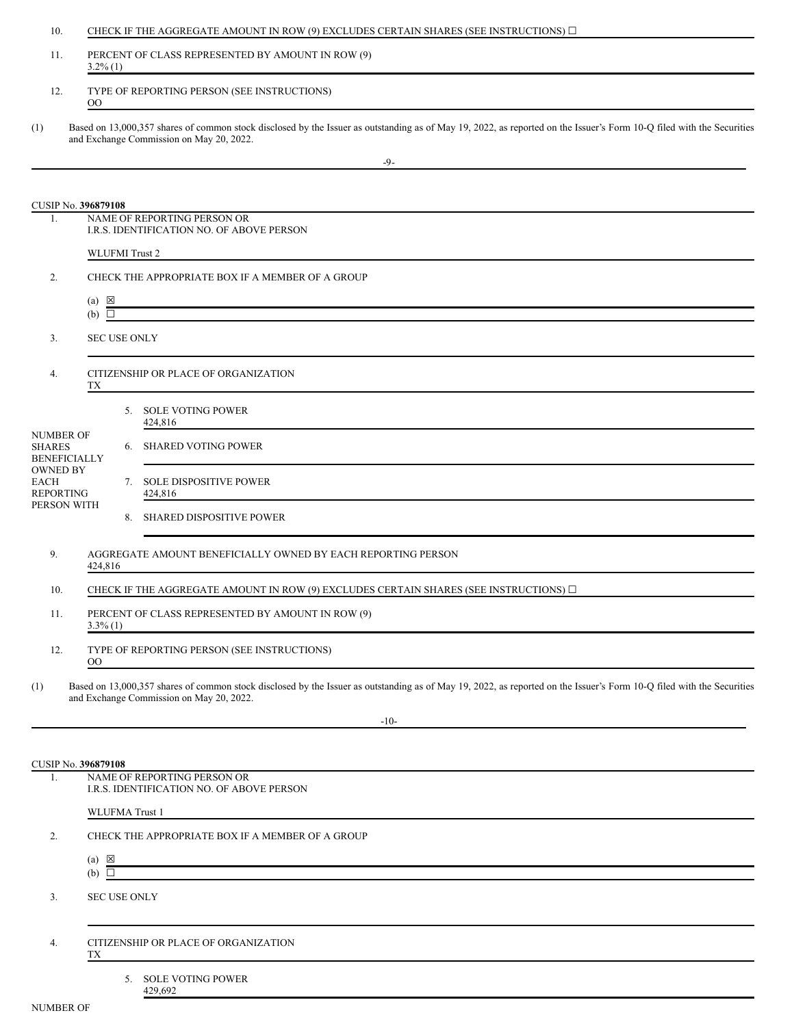| 10.                                                      |                                                                                                                                                                                  |                       | CHECK IF THE AGGREGATE AMOUNT IN ROW (9) EXCLUDES CERTAIN SHARES (SEE INSTRUCTIONS) $\Box$                                                                                                                                 |
|----------------------------------------------------------|----------------------------------------------------------------------------------------------------------------------------------------------------------------------------------|-----------------------|----------------------------------------------------------------------------------------------------------------------------------------------------------------------------------------------------------------------------|
| 11.                                                      | PERCENT OF CLASS REPRESENTED BY AMOUNT IN ROW (9)<br>$3.2\%$ (1)                                                                                                                 |                       |                                                                                                                                                                                                                            |
| 12.                                                      | TYPE OF REPORTING PERSON (SEE INSTRUCTIONS)<br>$\rm{OO}$<br><u> 1980 - Johann Stein, marwolaethau a bhann an t-Amhair an t-Amhair an t-Amhair an t-Amhair an t-Amhair an t-A</u> |                       |                                                                                                                                                                                                                            |
| (1)                                                      |                                                                                                                                                                                  |                       | Based on 13,000,357 shares of common stock disclosed by the Issuer as outstanding as of May 19, 2022, as reported on the Issuer's Form 10-Q filed with the Securities<br>and Exchange Commission on May 20, 2022.<br>$-9-$ |
| <b>CUSIP No. 396879108</b>                               |                                                                                                                                                                                  |                       |                                                                                                                                                                                                                            |
| $\mathbf{1}$ .                                           |                                                                                                                                                                                  |                       | NAME OF REPORTING PERSON OR<br>I.R.S. IDENTIFICATION NO. OF ABOVE PERSON                                                                                                                                                   |
|                                                          |                                                                                                                                                                                  | <b>WLUFMI</b> Trust 2 |                                                                                                                                                                                                                            |
| 2.                                                       |                                                                                                                                                                                  |                       | CHECK THE APPROPRIATE BOX IF A MEMBER OF A GROUP                                                                                                                                                                           |
|                                                          | $(a) \times$<br>$(b)$ $\square$                                                                                                                                                  |                       |                                                                                                                                                                                                                            |
| 3.                                                       |                                                                                                                                                                                  | <b>SEC USE ONLY</b>   |                                                                                                                                                                                                                            |
| 4.                                                       | TХ                                                                                                                                                                               |                       | CITIZENSHIP OR PLACE OF ORGANIZATION                                                                                                                                                                                       |
|                                                          |                                                                                                                                                                                  |                       | 5. SOLE VOTING POWER<br>424,816                                                                                                                                                                                            |
| <b>NUMBER OF</b><br><b>SHARES</b><br><b>BENEFICIALLY</b> |                                                                                                                                                                                  |                       | 6. SHARED VOTING POWER                                                                                                                                                                                                     |
| <b>OWNED BY</b><br><b>EACH</b><br><b>REPORTING</b>       |                                                                                                                                                                                  |                       | 7. SOLE DISPOSITIVE POWER<br>424,816                                                                                                                                                                                       |
| PERSON WITH                                              |                                                                                                                                                                                  |                       | 8. SHARED DISPOSITIVE POWER                                                                                                                                                                                                |
| 9.                                                       | 424,816                                                                                                                                                                          |                       | AGGREGATE AMOUNT BENEFICIALLY OWNED BY EACH REPORTING PERSON                                                                                                                                                               |
| 10.                                                      |                                                                                                                                                                                  |                       | CHECK IF THE AGGREGATE AMOUNT IN ROW (9) EXCLUDES CERTAIN SHARES (SEE INSTRUCTIONS) $\Box$                                                                                                                                 |
| 11.                                                      | PERCENT OF CLASS REPRESENTED BY AMOUNT IN ROW (9)<br>$3.3\%$ (1)                                                                                                                 |                       |                                                                                                                                                                                                                            |
| 12.                                                      | $^{00}$                                                                                                                                                                          |                       | TYPE OF REPORTING PERSON (SEE INSTRUCTIONS)                                                                                                                                                                                |
| (1)                                                      |                                                                                                                                                                                  |                       | Based on 13,000,357 shares of common stock disclosed by the Issuer as outstanding as of May 19, 2022, as reported on the Issuer's Form 10-Q filed with the Securities<br>and Exchange Commission on May 20, 2022.          |
|                                                          |                                                                                                                                                                                  |                       | $-10-$                                                                                                                                                                                                                     |
|                                                          |                                                                                                                                                                                  |                       |                                                                                                                                                                                                                            |
| CUSIP No. 396879108<br>1.                                |                                                                                                                                                                                  |                       | NAME OF REPORTING PERSON OR<br>I.R.S. IDENTIFICATION NO. OF ABOVE PERSON                                                                                                                                                   |
|                                                          |                                                                                                                                                                                  | <b>WLUFMA</b> Trust 1 |                                                                                                                                                                                                                            |
| 2.                                                       |                                                                                                                                                                                  |                       | CHECK THE APPROPRIATE BOX IF A MEMBER OF A GROUP                                                                                                                                                                           |
|                                                          | $(a) \boxtimes$<br>$(b)$ $\Box$                                                                                                                                                  |                       |                                                                                                                                                                                                                            |

3. SEC USE ONLY

4. CITIZENSHIP OR PLACE OF ORGANIZATION TX

> 5. SOLE VOTING POWER 429,692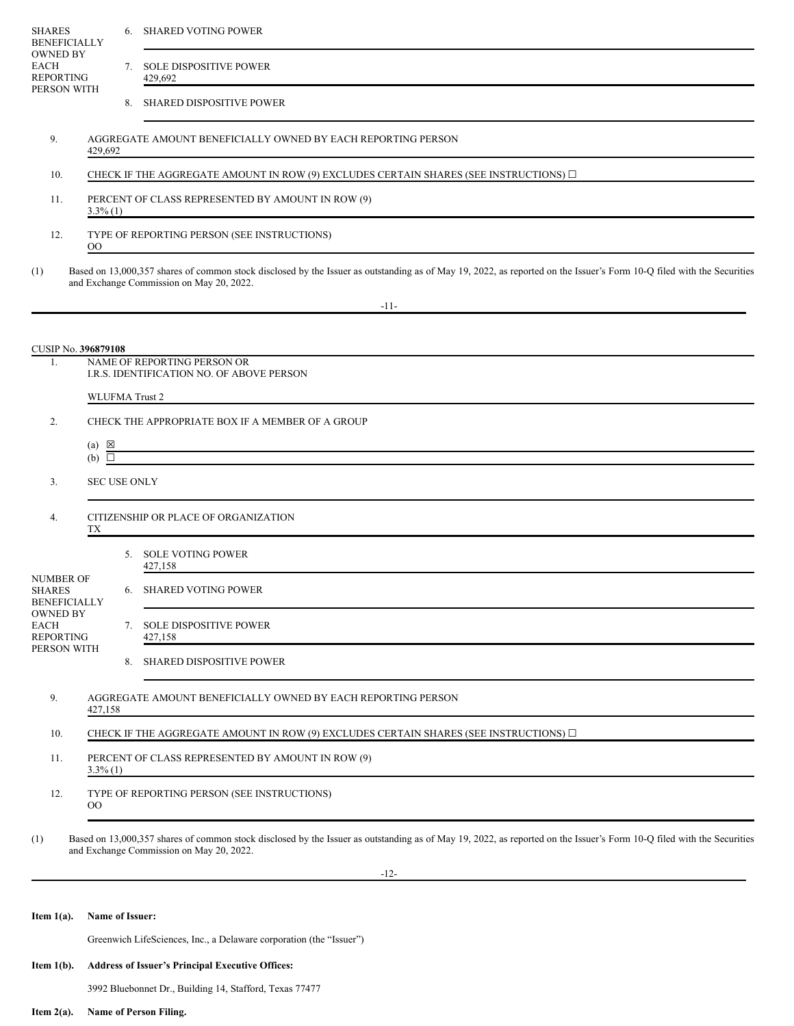| <b>SHARES</b><br><b>OWNED BY</b>                   | <b>BENEFICIALLY</b>                                              |                     | 6. SHARED VOTING POWER                                                                                                                                                                                            |
|----------------------------------------------------|------------------------------------------------------------------|---------------------|-------------------------------------------------------------------------------------------------------------------------------------------------------------------------------------------------------------------|
| <b>EACH</b><br><b>REPORTING</b><br>PERSON WITH     |                                                                  |                     | 7. SOLE DISPOSITIVE POWER<br>429,692                                                                                                                                                                              |
|                                                    |                                                                  |                     | 8. SHARED DISPOSITIVE POWER                                                                                                                                                                                       |
| 9.                                                 | 429,692                                                          |                     | AGGREGATE AMOUNT BENEFICIALLY OWNED BY EACH REPORTING PERSON                                                                                                                                                      |
| 10.                                                |                                                                  |                     | CHECK IF THE AGGREGATE AMOUNT IN ROW (9) EXCLUDES CERTAIN SHARES (SEE INSTRUCTIONS) $\Box$                                                                                                                        |
| 11.                                                | PERCENT OF CLASS REPRESENTED BY AMOUNT IN ROW (9)<br>$3.3\%$ (1) |                     |                                                                                                                                                                                                                   |
| 12.                                                | $_{\rm OO}$                                                      |                     | TYPE OF REPORTING PERSON (SEE INSTRUCTIONS)                                                                                                                                                                       |
| (1)                                                |                                                                  |                     | Based on 13,000,357 shares of common stock disclosed by the Issuer as outstanding as of May 19, 2022, as reported on the Issuer's Form 10-Q filed with the Securities<br>and Exchange Commission on May 20, 2022. |
|                                                    |                                                                  |                     | $-11-$                                                                                                                                                                                                            |
|                                                    |                                                                  |                     |                                                                                                                                                                                                                   |
| 1.                                                 | CUSIP No. 396879108                                              |                     | NAME OF REPORTING PERSON OR                                                                                                                                                                                       |
|                                                    |                                                                  |                     | I.R.S. IDENTIFICATION NO. OF ABOVE PERSON                                                                                                                                                                         |
|                                                    |                                                                  |                     | <b>WLUFMA Trust 2</b>                                                                                                                                                                                             |
| 2.                                                 |                                                                  |                     | CHECK THE APPROPRIATE BOX IF A MEMBER OF A GROUP                                                                                                                                                                  |
|                                                    | $(a) \times$<br>$(b)$ $\square$                                  |                     |                                                                                                                                                                                                                   |
| 3.                                                 |                                                                  | <b>SEC USE ONLY</b> |                                                                                                                                                                                                                   |
| 4.                                                 | TХ                                                               |                     | CITIZENSHIP OR PLACE OF ORGANIZATION                                                                                                                                                                              |
|                                                    |                                                                  |                     | 5. SOLE VOTING POWER<br>427,158                                                                                                                                                                                   |
| <b>NUMBER OF</b><br><b>SHARES</b>                  | <b>BENEFICIALLY</b>                                              |                     | 6. SHARED VOTING POWER                                                                                                                                                                                            |
| <b>OWNED BY</b><br><b>EACH</b><br><b>REPORTING</b> |                                                                  |                     | 7. SOLE DISPOSITIVE POWER<br>427,158                                                                                                                                                                              |
| PERSON WITH                                        |                                                                  |                     | 8. SHARED DISPOSITIVE POWER                                                                                                                                                                                       |
| 9.                                                 | 427,158                                                          |                     | AGGREGATE AMOUNT BENEFICIALLY OWNED BY EACH REPORTING PERSON                                                                                                                                                      |
| 10.                                                |                                                                  |                     | CHECK IF THE AGGREGATE AMOUNT IN ROW (9) EXCLUDES CERTAIN SHARES (SEE INSTRUCTIONS) $\square$                                                                                                                     |
| 11.                                                | PERCENT OF CLASS REPRESENTED BY AMOUNT IN ROW (9)<br>$3.3\%$ (1) |                     |                                                                                                                                                                                                                   |
| 12.                                                | $_{\rm OO}$                                                      |                     | TYPE OF REPORTING PERSON (SEE INSTRUCTIONS)                                                                                                                                                                       |
| (1)                                                |                                                                  |                     | Based on 13,000,357 shares of common stock disclosed by the Issuer as outstanding as of May 19, 2022, as reported on the Issuer's Form 10-Q filed with the Securities<br>and Exchange Commission on May 20, 2022. |
|                                                    |                                                                  |                     | $-12-$                                                                                                                                                                                                            |
|                                                    |                                                                  |                     |                                                                                                                                                                                                                   |
| Item $1(a)$ .                                      |                                                                  | Name of Issuer:     |                                                                                                                                                                                                                   |

Greenwich LifeSciences, Inc., a Delaware corporation (the "Issuer")

## **Item 1(b). Address of Issuer's Principal Executive Offices:**

3992 Bluebonnet Dr., Building 14, Stafford, Texas 77477